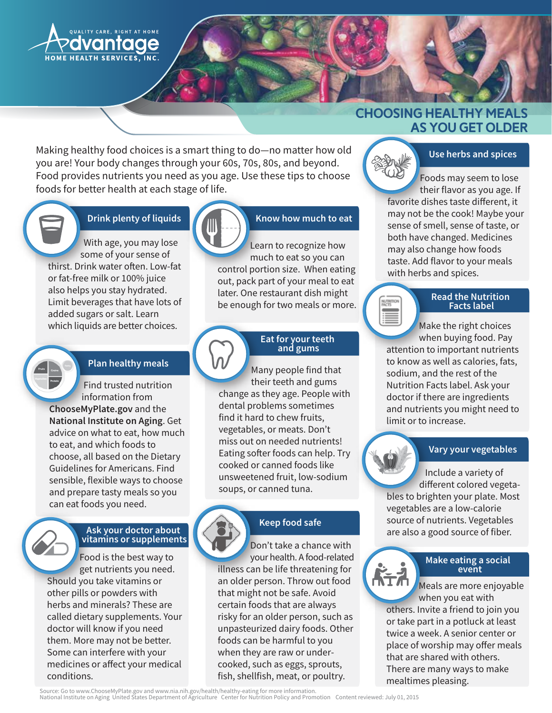

# **CHOOSING HEALTHY MEALS AS YOU GET OLDER**

Making healthy food choices is a smart thing to do-no matter how old you are! Your body changes through your 60s, 70s, 80s, and beyond. Food provides nutrients you need as you age. Use these tips to choose foods for better health at each stage of life.

## **Drink plenty of liquids**

With age, you may lose some of your sense of thirst. Drink water often. Low-fat or fat-free milk or 100% juice also helps you stay hydrated. Limit beverages that have lots of added sugars or salt. Learn which liquids are better choices.

### **Plan healthy meals**

Find trusted nutrition information from ChooseMyPlate.gov and the National Institute on Aging. Get advice on what to eat, how much to eat, and which foods to choose, all based on the Dietary Guidelines for Americans, Find sensible, flexible ways to choose and prepare tasty meals so you can eat foods you need.

# Ask your doctor about<br>vitamins or supplements

Food is the best way to get nutrients you need. Should you take vitamins or other pills or powders with herbs and minerals? These are called dietary supplements. Your doctor will know if you need them. More may not be better. Some can interfere with your medicines or affect your medical conditions.

# Know how much to eat

Learn to recognize how much to eat so you can control portion size. When eating out, pack part of your meal to eat later. One restaurant dish might be enough for two meals or more.

### Eat for your teeth and gums

Many people find that their teeth and gums change as they age. People with dental problems sometimes find it hard to chew fruits, vegetables, or meats. Don't miss out on needed nutrients! Eating softer foods can help. Try cooked or canned foods like unsweetened fruit, low-sodium soups, or canned tuna.

# **Keep food safe**

Don't take a chance with your health. A food-related illness can be life threatening for an older person. Throw out food that might not be safe. Avoid certain foods that are always risky for an older person, such as unpasteurized dairy foods. Other foods can be harmful to you when they are raw or undercooked, such as eggs, sprouts, fish, shellfish, meat, or poultry.



### Use herbs and spices

Foods may seem to lose their flavor as you age. If favorite dishes taste different, it may not be the cook! Maybe your sense of smell, sense of taste, or both have changed. Medicines may also change how foods taste. Add flavor to your meals with herbs and spices.

#### **Read the Nutrition Facts label**

Make the right choices when buying food. Pay attention to important nutrients to know as well as calories, fats, sodium, and the rest of the Nutrition Facts label. Ask your doctor if there are ingredients and nutrients you might need to limit or to increase.

### Vary your vegetables

Include a variety of different colored vegetables to brighten your plate. Most vegetables are a low-calorie source of nutrients. Vegetables are also a good source of fiber.

# Make eating a social<br>event

Meals are more enjoyable when you eat with others. Invite a friend to join you or take part in a potluck at least twice a week. A senior center or place of worship may offer meals that are shared with others. There are many ways to make mealtimes pleasing.

Source: Go to www.ChooseMyPlate.gov and www.nia.nih.gov/health/healthy-eating for more information.<br>National Institute on Aging United States Department of Agriculture Center for Nutrition Policy and Promotion Content revi